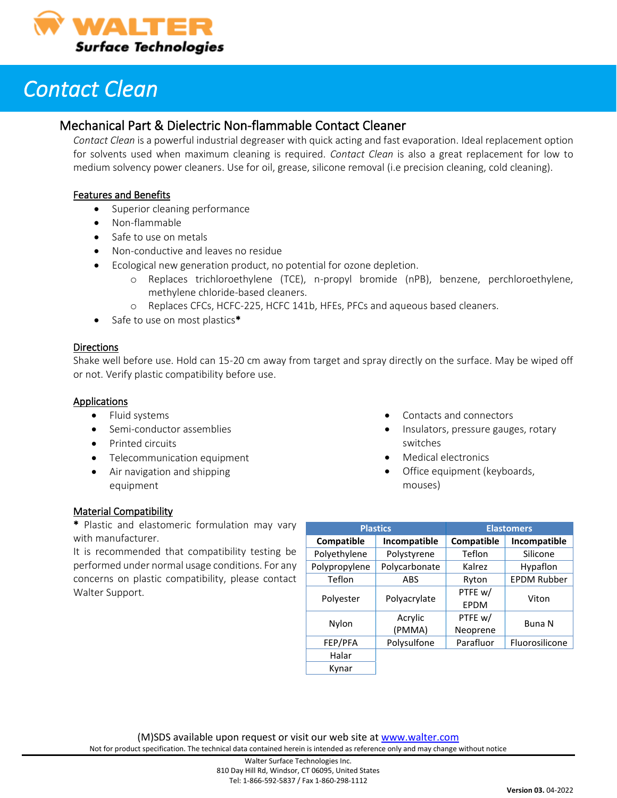

## *Contact Clean*

### Mechanical Part & Dielectric Non-flammable Contact Cleaner

*Contact Clean* is a powerful industrial degreaser with quick acting and fast evaporation. Ideal replacement option for solvents used when maximum cleaning is required. *Contact Clean* is also a great replacement for low to medium solvency power cleaners. Use for oil, grease, silicone removal (i.e precision cleaning, cold cleaning).

#### Features and Benefits

- Superior cleaning performance
- Non-flammable
- Safe to use on metals
- Non-conductive and leaves no residue
- Ecological new generation product, no potential for ozone depletion.
	- o Replaces trichloroethylene (TCE), n-propyl bromide (nPB), benzene, perchloroethylene, methylene chloride-based cleaners.
	- o Replaces CFCs, HCFC-225, HCFC 141b, HFEs, PFCs and aqueous based cleaners.
- Safe to use on most plastics\*

#### **Directions**

Shake well before use. Hold can 15-20 cm away from target and spray directly on the surface. May be wiped off or not. Verify plastic compatibility before use.

#### Applications

- Fluid systems
- Semi-conductor assemblies
- Printed circuits
- Telecommunication equipment
- Air navigation and shipping equipment
- Contacts and connectors
- Insulators, pressure gauges, rotary switches
- Medical electronics
- Office equipment (keyboards, mouses)

#### Material Compatibility

\* Plastic and elastomeric formulation may vary with manufacturer.

It is recommended that compatibility testing be performed under normal usage conditions. For any concerns on plastic compatibility, please contact Walter Support.

| <b>Plastics</b> |               | <b>Elastomers</b> |                    |
|-----------------|---------------|-------------------|--------------------|
| Compatible      | Incompatible  | Compatible        | Incompatible       |
| Polyethylene    | Polystyrene   | Teflon            | Silicone           |
| Polypropylene   | Polycarbonate | Kalrez            | Hypaflon           |
| Teflon          | ABS           | Ryton             | <b>EPDM Rubber</b> |
| Polyester       | Polyacrylate  | PTFE w/           | Viton              |
|                 |               | EPDM              |                    |
| Nylon           | Acrylic       | PTFE w/           | Buna N             |
|                 | (PMMA)        | Neoprene          |                    |
| FEP/PFA         | Polysulfone   | Parafluor         | Fluorosilicone     |
| Halar           |               |                   |                    |
| Kynar           |               |                   |                    |

(M)SDS available upon request or visit our web site a[t www.walter.com](http://www.walter.com/)

Not for product specification. The technical data contained herein is intended as reference only and may change without notice